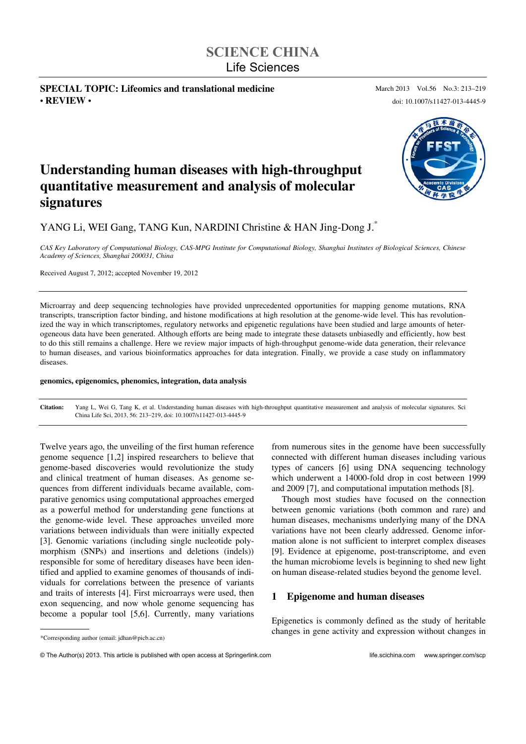# **SCIENCE CHINA**  Life Sciences

**SPECIAL TOPIC: Lifeomics and translational medicine** March 2013 Vol.56 No.3: 213-219 • **REVIEW** • doi: 10.1007/s11427-013-4445-9



# **Understanding human diseases with high-throughput quantitative measurement and analysis of molecular signatures**

YANG Li, WEI Gang, TANG Kun, NARDINI Christine & HAN Jing-Dong J.\*

*CAS Key Laboratory of Computational Biology, CAS-MPG Institute for Computational Biology, Shanghai Institutes of Biological Sciences, Chinese Academy of Sciences, Shanghai 200031, China* 

Received August 7, 2012; accepted November 19, 2012

Microarray and deep sequencing technologies have provided unprecedented opportunities for mapping genome mutations, RNA transcripts, transcription factor binding, and histone modifications at high resolution at the genome-wide level. This has revolutionized the way in which transcriptomes, regulatory networks and epigenetic regulations have been studied and large amounts of heterogeneous data have been generated. Although efforts are being made to integrate these datasets unbiasedly and efficiently, how best to do this still remains a challenge. Here we review major impacts of high-throughput genome-wide data generation, their relevance to human diseases, and various bioinformatics approaches for data integration. Finally, we provide a case study on inflammatory diseases.

#### **genomics, epigenomics, phenomics, integration, data analysis**

**Citation:** Yang L, Wei G, Tang K, et al. Understanding human diseases with high-throughput quantitative measurement and analysis of molecular signatures. Sci China Life Sci, 2013, 56: 213–219, doi: 10.1007/s11427-013-4445-9

Twelve years ago, the unveiling of the first human reference genome sequence [1,2] inspired researchers to believe that genome-based discoveries would revolutionize the study and clinical treatment of human diseases. As genome sequences from different individuals became available, comparative genomics using computational approaches emerged as a powerful method for understanding gene functions at the genome-wide level. These approaches unveiled more variations between individuals than were initially expected [3]. Genomic variations (including single nucleotide polymorphism (SNPs) and insertions and deletions (indels)) responsible for some of hereditary diseases have been identified and applied to examine genomes of thousands of individuals for correlations between the presence of variants and traits of interests [4]. First microarrays were used, then exon sequencing, and now whole genome sequencing has become a popular tool [5,6]. Currently, many variations

\*Corresponding author (email: jdhan@picb.ac.cn)

 $\overline{a}$ 

from numerous sites in the genome have been successfully connected with different human diseases including various types of cancers [6] using DNA sequencing technology which underwent a 14000-fold drop in cost between 1999 and 2009 [7], and computational imputation methods [8].

Though most studies have focused on the connection between genomic variations (both common and rare) and human diseases, mechanisms underlying many of the DNA variations have not been clearly addressed. Genome information alone is not sufficient to interpret complex diseases [9]. Evidence at epigenome, post-transcriptome, and even the human microbiome levels is beginning to shed new light on human disease-related studies beyond the genome level.

#### **1 Epigenome and human diseases**

Epigenetics is commonly defined as the study of heritable changes in gene activity and expression without changes in

<sup>©</sup> The Author(s) 2013. This article is published with open access at Springerlink.com life.scichina.com www.springer.com/scp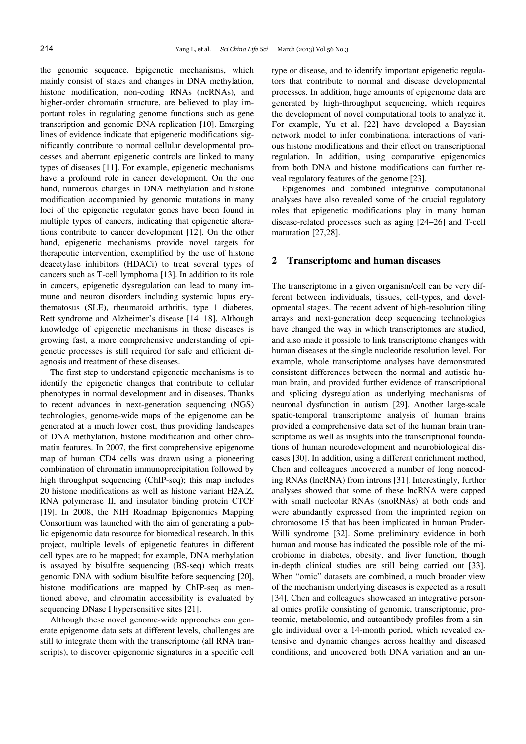the genomic sequence. Epigenetic mechanisms, which mainly consist of states and changes in DNA methylation, histone modification, non-coding RNAs (ncRNAs), and higher-order chromatin structure, are believed to play important roles in regulating genome functions such as gene transcription and genomic DNA replication [10]. Emerging lines of evidence indicate that epigenetic modifications significantly contribute to normal cellular developmental processes and aberrant epigenetic controls are linked to many types of diseases [11]. For example, epigenetic mechanisms have a profound role in cancer development. On the one hand, numerous changes in DNA methylation and histone modification accompanied by genomic mutations in many loci of the epigenetic regulator genes have been found in multiple types of cancers, indicating that epigenetic alterations contribute to cancer development [12]. On the other hand, epigenetic mechanisms provide novel targets for therapeutic intervention, exemplified by the use of histone deacetylase inhibitors (HDACi) to treat several types of cancers such as T-cell lymphoma [13]. In addition to its role in cancers, epigenetic dysregulation can lead to many immune and neuron disorders including systemic lupus erythematosus (SLE), rheumatoid arthritis, type 1 diabetes, Rett syndrome and Alzheimer's disease [14-18]. Although knowledge of epigenetic mechanisms in these diseases is growing fast, a more comprehensive understanding of epigenetic processes is still required for safe and efficient diagnosis and treatment of these diseases.

The first step to understand epigenetic mechanisms is to identify the epigenetic changes that contribute to cellular phenotypes in normal development and in diseases. Thanks to recent advances in next-generation sequencing (NGS) technologies, genome-wide maps of the epigenome can be generated at a much lower cost, thus providing landscapes of DNA methylation, histone modification and other chromatin features. In 2007, the first comprehensive epigenome map of human CD4 cells was drawn using a pioneering combination of chromatin immunoprecipitation followed by high throughput sequencing (ChIP-seq); this map includes 20 histone modifications as well as histone variant H2A.Z, RNA polymerase II, and insulator binding protein CTCF [19]. In 2008, the NIH Roadmap Epigenomics Mapping Consortium was launched with the aim of generating a public epigenomic data resource for biomedical research. In this project, multiple levels of epigenetic features in different cell types are to be mapped; for example, DNA methylation is assayed by bisulfite sequencing (BS-seq) which treats genomic DNA with sodium bisulfite before sequencing [20], histone modifications are mapped by ChIP-seq as mentioned above, and chromatin accessibility is evaluated by sequencing DNase I hypersensitive sites [21].

Although these novel genome-wide approaches can generate epigenome data sets at different levels, challenges are still to integrate them with the transcriptome (all RNA transcripts), to discover epigenomic signatures in a specific cell type or disease, and to identify important epigenetic regulators that contribute to normal and disease developmental processes. In addition, huge amounts of epigenome data are generated by high-throughput sequencing, which requires the development of novel computational tools to analyze it. For example, Yu et al. [22] have developed a Bayesian network model to infer combinational interactions of various histone modifications and their effect on transcriptional regulation. In addition, using comparative epigenomics from both DNA and histone modifications can further reveal regulatory features of the genome [23].

Epigenomes and combined integrative computational analyses have also revealed some of the crucial regulatory roles that epigenetic modifications play in many human disease-related processes such as aging [24-26] and T-cell maturation [27,28].

#### **2 Transcriptome and human diseases**

The transcriptome in a given organism/cell can be very different between individuals, tissues, cell-types, and developmental stages. The recent advent of high-resolution tiling arrays and next-generation deep sequencing technologies have changed the way in which transcriptomes are studied, and also made it possible to link transcriptome changes with human diseases at the single nucleotide resolution level. For example, whole transcriptome analyses have demonstrated consistent differences between the normal and autistic human brain, and provided further evidence of transcriptional and splicing dysregulation as underlying mechanisms of neuronal dysfunction in autism [29]. Another large-scale spatio-temporal transcriptome analysis of human brains provided a comprehensive data set of the human brain transcriptome as well as insights into the transcriptional foundations of human neurodevelopment and neurobiological diseases [30]. In addition, using a different enrichment method, Chen and colleagues uncovered a number of long noncoding RNAs (lncRNA) from introns [31]. Interestingly, further analyses showed that some of these lncRNA were capped with small nucleolar RNAs (snoRNAs) at both ends and were abundantly expressed from the imprinted region on chromosome 15 that has been implicated in human Prader-Willi syndrome [32]. Some preliminary evidence in both human and mouse has indicated the possible role of the microbiome in diabetes, obesity, and liver function, though in-depth clinical studies are still being carried out [33]. When "omic" datasets are combined, a much broader view of the mechanism underlying diseases is expected as a result [34]. Chen and colleagues showcased an integrative personal omics profile consisting of genomic, transcriptomic, proteomic, metabolomic, and autoantibody profiles from a single individual over a 14-month period, which revealed extensive and dynamic changes across healthy and diseased conditions, and uncovered both DNA variation and an un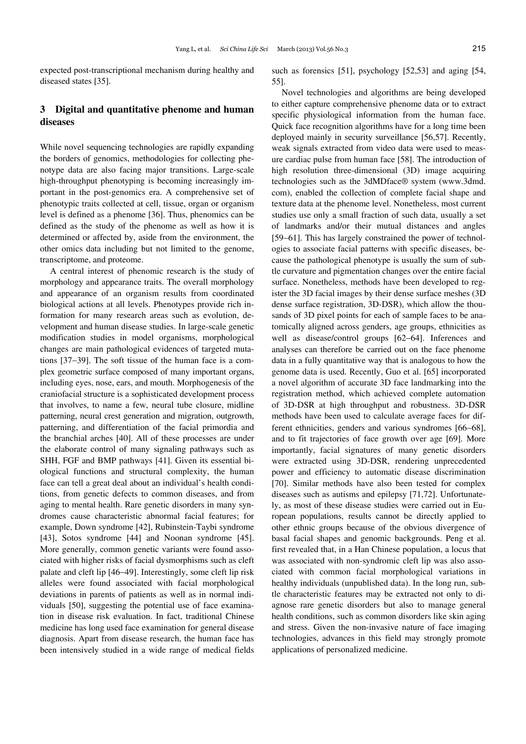expected post-transcriptional mechanism during healthy and diseased states [35].

# **3 Digital and quantitative phenome and human diseases**

While novel sequencing technologies are rapidly expanding the borders of genomics, methodologies for collecting phenotype data are also facing major transitions. Large-scale high-throughput phenotyping is becoming increasingly important in the post-genomics era. A comprehensive set of phenotypic traits collected at cell, tissue, organ or organism level is defined as a phenome [36]. Thus, phenomics can be defined as the study of the phenome as well as how it is determined or affected by, aside from the environment, the other omics data including but not limited to the genome, transcriptome, and proteome.

A central interest of phenomic research is the study of morphology and appearance traits. The overall morphology and appearance of an organism results from coordinated biological actions at all levels. Phenotypes provide rich information for many research areas such as evolution, development and human disease studies. In large-scale genetic modification studies in model organisms, morphological changes are main pathological evidences of targeted mutations [37-39]. The soft tissue of the human face is a complex geometric surface composed of many important organs, including eyes, nose, ears, and mouth. Morphogenesis of the craniofacial structure is a sophisticated development process that involves, to name a few, neural tube closure, midline patterning, neural crest generation and migration, outgrowth, patterning, and differentiation of the facial primordia and the branchial arches [40]. All of these processes are under the elaborate control of many signaling pathways such as SHH, FGF and BMP pathways [41]. Given its essential biological functions and structural complexity, the human face can tell a great deal about an individual's health conditions, from genetic defects to common diseases, and from aging to mental health. Rare genetic disorders in many syndromes cause characteristic abnormal facial features; for example, Down syndrome [42], Rubinstein-Taybi syndrome [43], Sotos syndrome [44] and Noonan syndrome [45]. More generally, common genetic variants were found associated with higher risks of facial dysmorphisms such as cleft palate and cleft lip [46–49]. Interestingly, some cleft lip risk alleles were found associated with facial morphological deviations in parents of patients as well as in normal individuals [50], suggesting the potential use of face examination in disease risk evaluation. In fact, traditional Chinese medicine has long used face examination for general disease diagnosis. Apart from disease research, the human face has been intensively studied in a wide range of medical fields

such as forensics [51], psychology [52,53] and aging [54, 55].

Novel technologies and algorithms are being developed to either capture comprehensive phenome data or to extract specific physiological information from the human face. Quick face recognition algorithms have for a long time been deployed mainly in security surveillance [56,57]. Recently, weak signals extracted from video data were used to measure cardiac pulse from human face [58]. The introduction of high resolution three-dimensional (3D) image acquiring technologies such as the 3dMDface® system (www.3dmd. com), enabled the collection of complete facial shape and texture data at the phenome level. Nonetheless, most current studies use only a small fraction of such data, usually a set of landmarks and/or their mutual distances and angles [59–61]. This has largely constrained the power of technologies to associate facial patterns with specific diseases, because the pathological phenotype is usually the sum of subtle curvature and pigmentation changes over the entire facial surface. Nonetheless, methods have been developed to register the 3D facial images by their dense surface meshes (3D dense surface registration, 3D-DSR), which allow the thousands of 3D pixel points for each of sample faces to be anatomically aligned across genders, age groups, ethnicities as well as disease/control groups [62-64]. Inferences and analyses can therefore be carried out on the face phenome data in a fully quantitative way that is analogous to how the genome data is used. Recently, Guo et al. [65] incorporated a novel algorithm of accurate 3D face landmarking into the registration method, which achieved complete automation of 3D-DSR at high throughput and robustness. 3D-DSR methods have been used to calculate average faces for different ethnicities, genders and various syndromes [66–68], and to fit trajectories of face growth over age [69]. More importantly, facial signatures of many genetic disorders were extracted using 3D-DSR, rendering unprecedented power and efficiency to automatic disease discrimination [70]. Similar methods have also been tested for complex diseases such as autisms and epilepsy [71,72]. Unfortunately, as most of these disease studies were carried out in European populations, results cannot be directly applied to other ethnic groups because of the obvious divergence of basal facial shapes and genomic backgrounds. Peng et al. first revealed that, in a Han Chinese population, a locus that was associated with non-syndromic cleft lip was also associated with common facial morphological variations in healthy individuals (unpublished data). In the long run, subtle characteristic features may be extracted not only to diagnose rare genetic disorders but also to manage general health conditions, such as common disorders like skin aging and stress. Given the non-invasive nature of face imaging technologies, advances in this field may strongly promote applications of personalized medicine.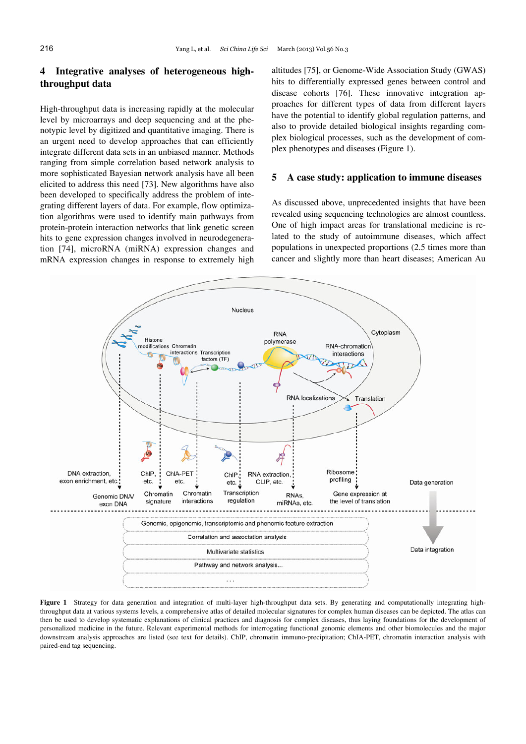## **4 Integrative analyses of heterogeneous highthroughput data**

High-throughput data is increasing rapidly at the molecular level by microarrays and deep sequencing and at the phenotypic level by digitized and quantitative imaging. There is an urgent need to develop approaches that can efficiently integrate different data sets in an unbiased manner. Methods ranging from simple correlation based network analysis to more sophisticated Bayesian network analysis have all been elicited to address this need [73]. New algorithms have also been developed to specifically address the problem of integrating different layers of data. For example, flow optimization algorithms were used to identify main pathways from protein-protein interaction networks that link genetic screen hits to gene expression changes involved in neurodegeneration [74], microRNA (miRNA) expression changes and mRNA expression changes in response to extremely high altitudes [75], or Genome-Wide Association Study (GWAS) hits to differentially expressed genes between control and disease cohorts [76]. These innovative integration approaches for different types of data from different layers have the potential to identify global regulation patterns, and also to provide detailed biological insights regarding complex biological processes, such as the development of complex phenotypes and diseases (Figure 1).

#### **5 A case study: application to immune diseases**

As discussed above, unprecedented insights that have been revealed using sequencing technologies are almost countless. One of high impact areas for translational medicine is related to the study of autoimmune diseases, which affect populations in unexpected proportions (2.5 times more than cancer and slightly more than heart diseases; American Au



Figure 1 Strategy for data generation and integration of multi-layer high-throughput data sets. By generating and computationally integrating highthroughput data at various systems levels, a comprehensive atlas of detailed molecular signatures for complex human diseases can be depicted. The atlas can then be used to develop systematic explanations of clinical practices and diagnosis for complex diseases, thus laying foundations for the development of personalized medicine in the future. Relevant experimental methods for interrogating functional genomic elements and other biomolecules and the major downstream analysis approaches are listed (see text for details). ChIP, chromatin immuno-precipitation; ChIA-PET, chromatin interaction analysis with paired-end tag sequencing.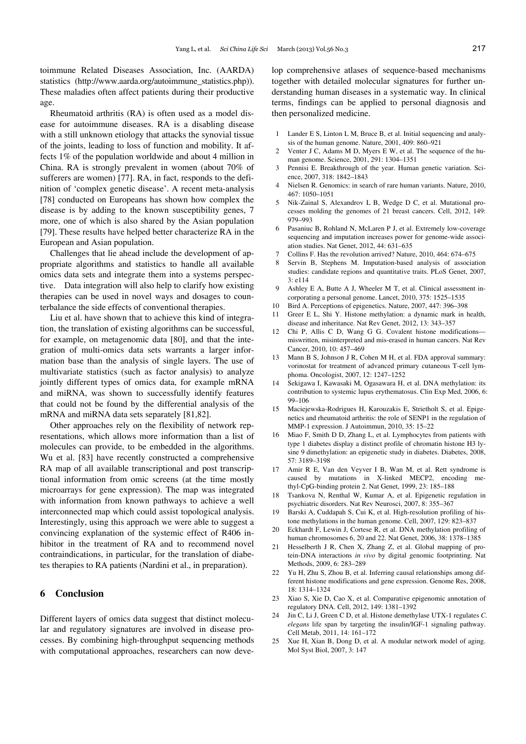toimmune Related Diseases Association, Inc. (AARDA) statistics (http://www.aarda.org/autoimmune\_statistics.php)). These maladies often affect patients during their productive age.

Rheumatoid arthritis (RA) is often used as a model disease for autoimmune diseases. RA is a disabling disease with a still unknown etiology that attacks the synovial tissue of the joints, leading to loss of function and mobility. It affects 1% of the population worldwide and about 4 million in China. RA is strongly prevalent in women (about 70% of sufferers are women) [77]. RA, in fact, responds to the definition of 'complex genetic disease'. A recent meta-analysis [78] conducted on Europeans has shown how complex the disease is by adding to the known susceptibility genes, 7 more, one of which is also shared by the Asian population [79]. These results have helped better characterize RA in the European and Asian population.

Challenges that lie ahead include the development of appropriate algorithms and statistics to handle all available omics data sets and integrate them into a systems perspective. Data integration will also help to clarify how existing therapies can be used in novel ways and dosages to counterbalance the side effects of conventional therapies.

Liu et al. have shown that to achieve this kind of integration, the translation of existing algorithms can be successful, for example, on metagenomic data [80], and that the integration of multi-omics data sets warrants a larger information base than the analysis of single layers. The use of multivariate statistics (such as factor analysis) to analyze jointly different types of omics data, for example mRNA and miRNA, was shown to successfully identify features that could not be found by the differential analysis of the mRNA and miRNA data sets separately [81,82].

Other approaches rely on the flexibility of network representations, which allows more information than a list of molecules can provide, to be embedded in the algorithms. Wu et al. [83] have recently constructed a comprehensive RA map of all available transcriptional and post transcriptional information from omic screens (at the time mostly microarrays for gene expression). The map was integrated with information from known pathways to achieve a well interconnected map which could assist topological analysis. Interestingly, using this approach we were able to suggest a convincing explanation of the systemic effect of R406 inhibitor in the treatment of RA and to recommend novel contraindications, in particular, for the translation of diabetes therapies to RA patients (Nardini et al., in preparation).

## **6 Conclusion**

Different layers of omics data suggest that distinct molecular and regulatory signatures are involved in disease processes. By combining high-throughput sequencing methods with computational approaches, researchers can now develop comprehensive atlases of sequence-based mechanisms together with detailed molecular signatures for further understanding human diseases in a systematic way. In clinical terms, findings can be applied to personal diagnosis and then personalized medicine.

- 1 Lander E S, Linton L M, Bruce B, et al. Initial sequencing and analysis of the human genome. Nature, 2001, 409: 860–921
- 2 Venter J C, Adams M D, Myers E W, et al. The sequence of the human genome. Science, 2001, 291: 1304–1351
- 3 Pennisi E. Breakthrough of the year. Human genetic variation. Science, 2007, 318: 1842–1843
- 4 Nielsen R. Genomics: in search of rare human variants. Nature, 2010, 467: 1050–1051
- 5 Nik-Zainal S, Alexandrov L B, Wedge D C, et al. Mutational processes molding the genomes of 21 breast cancers. Cell, 2012, 149: 979–993
- 6 Pasaniuc B, Rohland N, McLaren P J, et al. Extremely low-coverage sequencing and imputation increases power for genome-wide association studies. Nat Genet, 2012, 44: 631–635
- 7 Collins F. Has the revolution arrived? Nature, 2010, 464: 674–675
- Servin B, Stephens M. Imputation-based analysis of association studies: candidate regions and quantitative traits. PLoS Genet, 2007, 3: e114
- 9 Ashley E A, Butte A J, Wheeler M T, et al. Clinical assessment incorporating a personal genome. Lancet, 2010, 375: 1525–1535
- 10 Bird A. Perceptions of epigenetics. Nature, 2007, 447: 396–398
- Greer E L, Shi Y. Histone methylation: a dynamic mark in health, disease and inheritance. Nat Rev Genet, 2012, 13: 343–357
- 12 Chi P, Allis C D, Wang G G. Covalent histone modifications miswritten, misinterpreted and mis-erased in human cancers. Nat Rev Cancer, 2010, 10: 457–469
- 13 Mann B S, Johnson J R, Cohen M H, et al. FDA approval summary: vorinostat for treatment of advanced primary cutaneous T-cell lymphoma. Oncologist, 2007, 12: 1247–1252
- 14 Sekigawa I, Kawasaki M, Ogasawara H, et al. DNA methylation: its contribution to systemic lupus erythematosus. Clin Exp Med, 2006, 6: 99–106
- 15 Maciejewska-Rodrigues H, Karouzakis E, Strietholt S, et al. Epigenetics and rheumatoid arthritis: the role of SENP1 in the regulation of MMP-1 expression. J Autoimmun, 2010, 35: 15–22
- 16 Miao F, Smith D D, Zhang L, et al. Lymphocytes from patients with type 1 diabetes display a distinct profile of chromatin histone H3 lysine 9 dimethylation: an epigenetic study in diabetes. Diabetes, 2008, 57: 3189–3198
- 17 Amir R E, Van den Veyver I B, Wan M, et al. Rett syndrome is caused by mutations in X-linked MECP2, encoding methyl-CpG-binding protein 2. Nat Genet, 1999, 23: 185–188
- 18 Tsankova N, Renthal W, Kumar A, et al. Epigenetic regulation in psychiatric disorders. Nat Rev Neurosci, 2007, 8: 355–367
- 19 Barski A, Cuddapah S, Cui K, et al. High-resolution profiling of histone methylations in the human genome. Cell, 2007, 129: 823–837
- 20 Eckhardt F, Lewin J, Cortese R, et al. DNA methylation profiling of human chromosomes 6, 20 and 22. Nat Genet, 2006, 38: 1378–1385
- 21 Hesselberth J R, Chen X, Zhang Z, et al. Global mapping of protein-DNA interactions *in vivo* by digital genomic footprinting. Nat Methods, 2009, 6: 283–289
- 22 Yu H, Zhu S, Zhou B, et al. Inferring causal relationships among different histone modifications and gene expression. Genome Res, 2008, 18: 1314–1324
- 23 Xiao S, Xie D, Cao X, et al. Comparative epigenomic annotation of regulatory DNA. Cell, 2012, 149: 1381–1392
- 24 Jin C, Li J, Green C D, et al. Histone demethylase UTX-1 regulates *C. elegans* life span by targeting the insulin/IGF-1 signaling pathway. Cell Metab, 2011, 14: 161–172
- 25 Xue H, Xian B, Dong D, et al. A modular network model of aging. Mol Syst Biol, 2007, 3: 147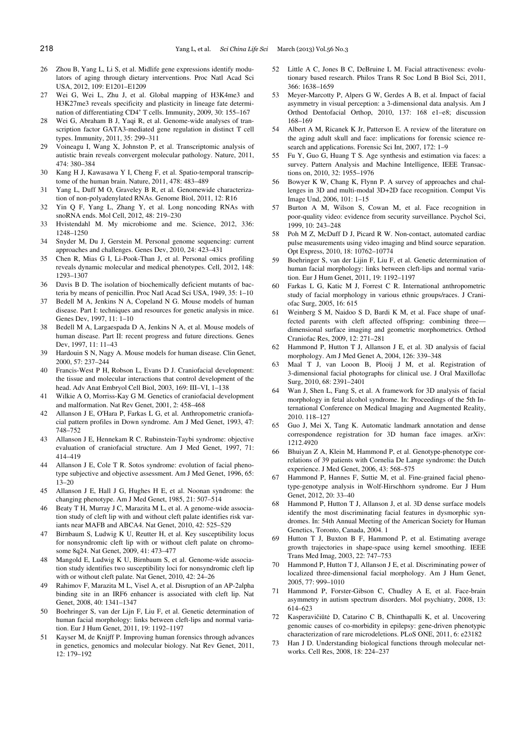- 26 Zhou B, Yang L, Li S, et al. Midlife gene expressions identify modulators of aging through dietary interventions. Proc Natl Acad Sci USA, 2012, 109: E1201–E1209
- 27 Wei G, Wei L, Zhu J, et al. Global mapping of H3K4me3 and H3K27me3 reveals specificity and plasticity in lineage fate determination of differentiating CD4<sup>+</sup> T cells. Immunity, 2009, 30: 155–167
- 28 Wei G, Abraham B J, Yaqi R, et al. Genome-wide analyses of transcription factor GATA3-mediated gene regulation in distinct T cell types. Immunity, 2011, 35: 299–311
- 29 Voineagu I, Wang X, Johnston P, et al. Transcriptomic analysis of autistic brain reveals convergent molecular pathology. Nature, 2011, 474: 380–384
- 30 Kang H J, Kawasawa Y I, Cheng F, et al. Spatio-temporal transcriptome of the human brain. Nature, 2011, 478: 483–489
- 31 Yang L, Duff M O, Graveley B R, et al. Genomewide characterization of non-polyadenylated RNAs. Genome Biol, 2011, 12: R16
- 32 Yin Q F, Yang L, Zhang Y, et al. Long noncoding RNAs with snoRNA ends. Mol Cell, 2012, 48: 219–230
- 33 Hvistendahl M. My microbiome and me. Science, 2012, 336: 1248–1250
- 34 Snyder M, Du J, Gerstein M. Personal genome sequencing: current approaches and challenges. Genes Dev, 2010, 24: 423–431
- 35 Chen R, Mias G I, Li-Pook-Than J, et al. Personal omics profiling reveals dynamic molecular and medical phenotypes. Cell, 2012, 148: 1293–1307
- 36 Davis B D. The isolation of biochemically deficient mutants of bacteria by means of penicillin. Proc Natl Acad Sci USA, 1949, 35: 1–10
- 37 Bedell M A, Jenkins N A, Copeland N G. Mouse models of human disease. Part I: techniques and resources for genetic analysis in mice. Genes Dev, 1997, 11: 1–10
- 38 Bedell M A, Largaespada D A, Jenkins N A, et al. Mouse models of human disease. Part II: recent progress and future directions. Genes Dev, 1997, 11: 11–43
- 39 Hardouin S N, Nagy A. Mouse models for human disease. Clin Genet, 2000, 57: 237–244
- 40 Francis-West P H, Robson L, Evans D J. Craniofacial development: the tissue and molecular interactions that control development of the head. Adv Anat Embryol Cell Biol, 2003, 169: III–VI, 1–138
- 41 Wilkie A O, Morriss-Kay G M. Genetics of craniofacial development and malformation. Nat Rev Genet, 2001, 2: 458–468
- 42 Allanson J E, O'Hara P, Farkas L G, et al. Anthropometric craniofacial pattern profiles in Down syndrome. Am J Med Genet, 1993, 47: 748–752
- 43 Allanson J E, Hennekam R C. Rubinstein-Taybi syndrome: objective evaluation of craniofacial structure. Am J Med Genet, 1997, 71: 414–419
- 44 Allanson J E, Cole T R. Sotos syndrome: evolution of facial phenotype subjective and objective assessment. Am J Med Genet, 1996, 65: 13–20
- 45 Allanson J E, Hall J G, Hughes H E, et al. Noonan syndrome: the changing phenotype. Am J Med Genet, 1985, 21: 507–514
- 46 Beaty T H, Murray J C, Marazita M L, et al. A genome-wide association study of cleft lip with and without cleft palate identifies risk variants near MAFB and ABCA4. Nat Genet, 2010, 42: 525–529
- 47 Birnbaum S, Ludwig K U, Reutter H, et al. Key susceptibility locus for nonsyndromic cleft lip with or without cleft palate on chromosome 8q24. Nat Genet, 2009, 41: 473–477
- 48 Mangold E, Ludwig K U, Birnbaum S, et al. Genome-wide association study identifies two susceptibility loci for nonsyndromic cleft lip with or without cleft palate. Nat Genet, 2010, 42: 24–26
- 49 Rahimov F, Marazita M L, Visel A, et al. Disruption of an AP-2alpha binding site in an IRF6 enhancer is associated with cleft lip. Nat Genet, 2008, 40: 1341–1347
- 50 Boehringer S, van der Lijn F, Liu F, et al. Genetic determination of human facial morphology: links between cleft-lips and normal variation. Eur J Hum Genet, 2011, 19: 1192–1197
- 51 Kayser M, de Knijff P. Improving human forensics through advances in genetics, genomics and molecular biology. Nat Rev Genet, 2011, 12: 179–192
- Little A C, Jones B C, DeBruine L M. Facial attractiveness: evolutionary based research. Philos Trans R Soc Lond B Biol Sci, 2011, 366: 1638–1659
- 53 Meyer-Marcotty P, Alpers G W, Gerdes A B, et al. Impact of facial asymmetry in visual perception: a 3-dimensional data analysis. Am J Orthod Dentofacial Orthop, 2010, 137: 168 e1–e8; discussion 168–169
- 54 Albert A M, Ricanek K Jr, Patterson E. A review of the literature on the aging adult skull and face: implications for forensic science research and applications. Forensic Sci Int, 2007, 172: 1–9
- 55 Fu Y, Guo G, Huang T S. Age synthesis and estimation via faces: a survey. Pattern Analysis and Machine Intelligence, IEEE Transactions on, 2010, 32: 1955–1976
- 56 Bowyer K W, Chang K, Flynn P. A survey of approaches and challenges in 3D and multi-modal 3D+2D face recognition. Comput Vis Image Und, 2006, 101: 1–15
- 57 Burton A M, Wilson S, Cowan M, et al. Face recognition in poor-quality video: evidence from security surveillance. Psychol Sci, 1999, 10: 243–248
- 58 Poh M Z, McDuff D J, Picard R W. Non-contact, automated cardiac pulse measurements using video imaging and blind source separation. Opt Express, 2010, 18: 10762–10774
- 59 Boehringer S, van der Lijin F, Liu F, et al. Genetic determination of human facial morphology: links between cleft-lips and normal variation. Eur J Hum Genet, 2011, 19: 1192–1197
- 60 Farkas L G, Katic M J, Forrest C R. International anthropometric study of facial morphology in various ethnic groups/races. J Craniofac Surg, 2005, 16: 615
- Weinberg S M, Naidoo S D, Bardi K M, et al. Face shape of unaffected parents with cleft affected offspring: combining three dimensional surface imaging and geometric morphometrics. Orthod Craniofac Res, 2009, 12: 271–281
- 62 Hammond P, Hutton T J, Allanson J E, et al. 3D analysis of facial morphology. Am J Med Genet A, 2004, 126: 339–348
- 63 Maal T J, van Looon B, Plooij J M, et al. Registration of 3-dimensional facial photographs for clinical use. J Oral Maxillofac Surg, 2010, 68: 2391–2401
- 64 Wan J, Shen L, Fang S, et al. A framework for 3D analysis of facial morphology in fetal alcohol syndrome. In: Proceedings of the 5th International Conference on Medical Imaging and Augmented Reality, 2010. 118–127
- 65 Guo J, Mei X, Tang K. Automatic landmark annotation and dense correspondence registration for 3D human face images. arXiv: 1212.4920
- 66 Bhuiyan Z A, Klein M, Hammond P, et al. Genotype-phenotype correlations of 39 patients with Cornelia De Lange syndrome: the Dutch experience. J Med Genet, 2006, 43: 568–575
- 67 Hammond P, Hannes F, Suttie M, et al. Fine-grained facial phenotype-genotype analysis in Wolf-Hirschhorn syndrome. Eur J Hum Genet, 2012, 20: 33–40
- 68 Hammond P, Hutton T J, Allanson J, et al. 3D dense surface models identify the most discriminating facial features in dysmorphic syndromes. In: 54th Annual Meeting of the American Society for Human Genetics, Toronto, Canada, 2004. 1
- 69 Hutton T J, Buxton B F, Hammond P, et al. Estimating average growth trajectories in shape-space using kernel smoothing. IEEE Trans Med Imag, 2003, 22: 747–753
- 70 Hammond P, Hutton T J, Allanson J E, et al. Discriminating power of localized three-dimensional facial morphology. Am J Hum Genet, 2005, 77: 999–1010
- 71 Hammond P, Forster-Gibson C, Chudley A E, et al. Face-brain asymmetry in autism spectrum disorders. Mol psychiatry, 2008, 13: 614–623
- 72 Kasperavičiūtė D, Catarino C B, Chinthapalli K, et al. Uncovering genomic causes of co-morbidity in epilepsy: gene-driven phenotypic characterization of rare microdeletions. PLoS ONE, 2011, 6: e23182
- 73 Han J D. Understanding biological functions through molecular networks. Cell Res, 2008, 18: 224–237